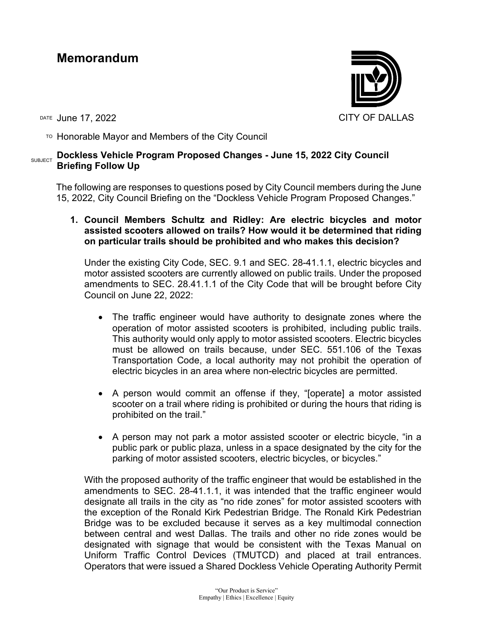# **Memorandum**

DATE June 17, 2022 **CITY OF DALLAS** 

 $T$ <sup>O</sup> Honorable Mayor and Members of the City Council

# SUBJECT **Dockless Vehicle Program Proposed Changes - June 15, 2022 City Council Briefing Follow Up**

The following are responses to questions posed by City Council members during the June 15, 2022, City Council Briefing on the "Dockless Vehicle Program Proposed Changes."

**1. Council Members Schultz and Ridley: Are electric bicycles and motor assisted scooters allowed on trails? How would it be determined that riding on particular trails should be prohibited and who makes this decision?**

Under the existing City Code, SEC. 9.1 and SEC. 28-41.1.1, electric bicycles and motor assisted scooters are currently allowed on public trails. Under the proposed amendments to SEC. 28.41.1.1 of the City Code that will be brought before City Council on June 22, 2022:

- The traffic engineer would have authority to designate zones where the operation of motor assisted scooters is prohibited, including public trails. This authority would only apply to motor assisted scooters. Electric bicycles must be allowed on trails because, under SEC. 551.106 of the Texas Transportation Code, a local authority may not prohibit the operation of electric bicycles in an area where non-electric bicycles are permitted.
- A person would commit an offense if they, "[operate] a motor assisted scooter on a trail where riding is prohibited or during the hours that riding is prohibited on the trail."
- A person may not park a motor assisted scooter or electric bicycle, "in a public park or public plaza, unless in a space designated by the city for the parking of motor assisted scooters, electric bicycles, or bicycles."

With the proposed authority of the traffic engineer that would be established in the amendments to SEC. 28-41.1.1, it was intended that the traffic engineer would designate all trails in the city as "no ride zones" for motor assisted scooters with the exception of the Ronald Kirk Pedestrian Bridge. The Ronald Kirk Pedestrian Bridge was to be excluded because it serves as a key multimodal connection between central and west Dallas. The trails and other no ride zones would be designated with signage that would be consistent with the Texas Manual on Uniform Traffic Control Devices (TMUTCD) and placed at trail entrances. Operators that were issued a Shared Dockless Vehicle Operating Authority Permit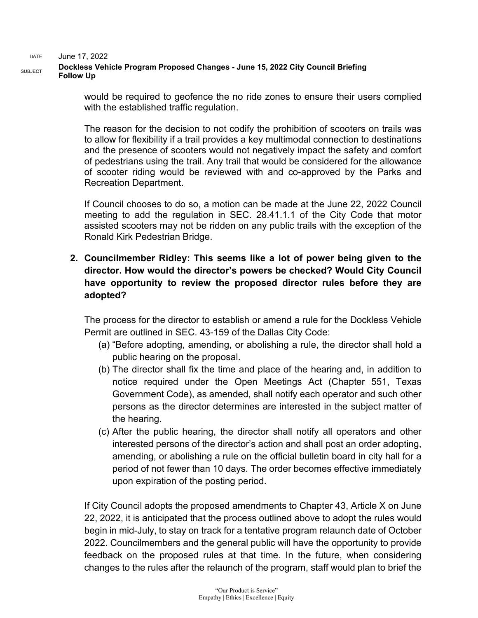DATE June 17, 2022 SUBJECT **Dockless Vehicle Program Proposed Changes - June 15, 2022 City Council Briefing Follow Up**

> would be required to geofence the no ride zones to ensure their users complied with the established traffic regulation.

> The reason for the decision to not codify the prohibition of scooters on trails was to allow for flexibility if a trail provides a key multimodal connection to destinations and the presence of scooters would not negatively impact the safety and comfort of pedestrians using the trail. Any trail that would be considered for the allowance of scooter riding would be reviewed with and co-approved by the Parks and Recreation Department.

> If Council chooses to do so, a motion can be made at the June 22, 2022 Council meeting to add the regulation in SEC. 28.41.1.1 of the City Code that motor assisted scooters may not be ridden on any public trails with the exception of the Ronald Kirk Pedestrian Bridge.

## **2. Councilmember Ridley: This seems like a lot of power being given to the director. How would the director's powers be checked? Would City Council have opportunity to review the proposed director rules before they are adopted?**

The process for the director to establish or amend a rule for the Dockless Vehicle Permit are outlined in SEC. 43-159 of the Dallas City Code:

- (a) "Before adopting, amending, or abolishing a rule, the director shall hold a public hearing on the proposal.
- (b) The director shall fix the time and place of the hearing and, in addition to notice required under the Open Meetings Act (Chapter 551, Texas Government Code), as amended, shall notify each operator and such other persons as the director determines are interested in the subject matter of the hearing.
- (c) After the public hearing, the director shall notify all operators and other interested persons of the director's action and shall post an order adopting, amending, or abolishing a rule on the official bulletin board in city hall for a period of not fewer than 10 days. The order becomes effective immediately upon expiration of the posting period.

If City Council adopts the proposed amendments to Chapter 43, Article X on June 22, 2022, it is anticipated that the process outlined above to adopt the rules would begin in mid-July, to stay on track for a tentative program relaunch date of October 2022. Councilmembers and the general public will have the opportunity to provide feedback on the proposed rules at that time. In the future, when considering changes to the rules after the relaunch of the program, staff would plan to brief the

> "Our Product is Service" Empathy | Ethics | Excellence | Equity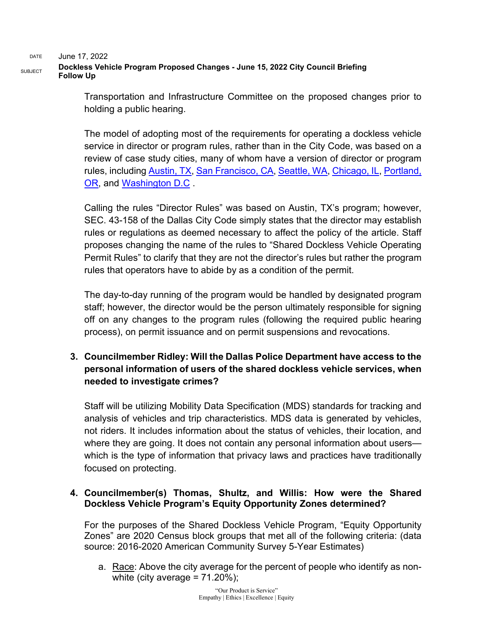DATE June 17, 2022

### SUBJECT **Dockless Vehicle Program Proposed Changes - June 15, 2022 City Council Briefing Follow Up**

Transportation and Infrastructure Committee on the proposed changes prior to holding a public hearing.

The model of adopting most of the requirements for operating a dockless vehicle service in director or program rules, rather than in the City Code, was based on a review of case study cities, many of whom have a version of director or program rules, including [Austin, TX,](https://www.austintexas.gov/sites/default/files/files/Transportation/Dockless_Final_Accepted_Searchable.pdf) [San Francisco, CA,](https://www.sfmta.com/reports/powered-scooter-share-permit-application-2021) [Seattle, WA,](https://www.seattle.gov/documents/Departments/SDOT/NewMobilityProgram/Scooter%20Share%20Permit%20Requirements%202.0%20-%202022.pdf) [Chicago, IL,](https://www.chicago.gov/content/dam/city/depts/cdot/Misc/EScooters/2020/City%20of%20Chicgo_EScooters_Pilot%20Program_Terms.pdf) [Portland,](https://www.portland.gov/sites/default/files/2022/clean-final-amended-trn-15.01-december-31-2021.pdf)  [OR,](https://www.portland.gov/sites/default/files/2022/clean-final-amended-trn-15.01-december-31-2021.pdf) and [Washington D.C](https://ddot.dc.gov/sites/default/files/dc/sites/ddot/page_content/attachments/2021.12.14%20Final%20Dockless%20Scooter%20Terms%20and%20Conditions.pdf) .

Calling the rules "Director Rules" was based on Austin, TX's program; however, SEC. 43-158 of the Dallas City Code simply states that the director may establish rules or regulations as deemed necessary to affect the policy of the article. Staff proposes changing the name of the rules to "Shared Dockless Vehicle Operating Permit Rules" to clarify that they are not the director's rules but rather the program rules that operators have to abide by as a condition of the permit.

The day-to-day running of the program would be handled by designated program staff; however, the director would be the person ultimately responsible for signing off on any changes to the program rules (following the required public hearing process), on permit issuance and on permit suspensions and revocations.

# **3. Councilmember Ridley: Will the Dallas Police Department have access to the personal information of users of the shared dockless vehicle services, when needed to investigate crimes?**

Staff will be utilizing Mobility Data Specification (MDS) standards for tracking and analysis of vehicles and trip characteristics. MDS data is generated by vehicles, not riders. It includes information about the status of vehicles, their location, and where they are going. It does not contain any personal information about users which is the type of information that privacy laws and practices have traditionally focused on protecting.

### **4. Councilmember(s) Thomas, Shultz, and Willis: How were the Shared Dockless Vehicle Program's Equity Opportunity Zones determined?**

For the purposes of the Shared Dockless Vehicle Program, "Equity Opportunity Zones" are 2020 Census block groups that met all of the following criteria: (data source: 2016-2020 American Community Survey 5-Year Estimates)

a. Race: Above the city average for the percent of people who identify as nonwhite (city average =  $71.20\%$ );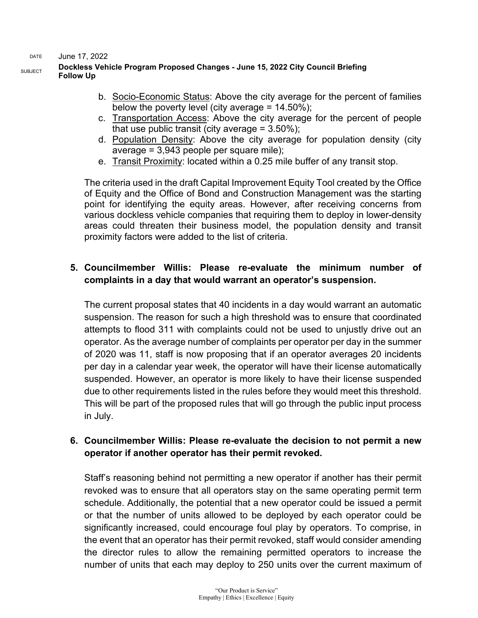DATE June 17, 2022

#### SUBJECT **Dockless Vehicle Program Proposed Changes - June 15, 2022 City Council Briefing Follow Up**

- b. Socio-Economic Status: Above the city average for the percent of families below the poverty level (city average  $= 14.50\%$ );
- c. Transportation Access: Above the city average for the percent of people that use public transit (city average  $= 3.50\%$ );
- d. Population Density: Above the city average for population density (city average = 3,943 people per square mile);
- e. Transit Proximity: located within a 0.25 mile buffer of any transit stop.

The criteria used in the draft Capital Improvement Equity Tool created by the Office of Equity and the Office of Bond and Construction Management was the starting point for identifying the equity areas. However, after receiving concerns from various dockless vehicle companies that requiring them to deploy in lower-density areas could threaten their business model, the population density and transit proximity factors were added to the list of criteria.

### **5. Councilmember Willis: Please re-evaluate the minimum number of complaints in a day that would warrant an operator's suspension.**

The current proposal states that 40 incidents in a day would warrant an automatic suspension. The reason for such a high threshold was to ensure that coordinated attempts to flood 311 with complaints could not be used to unjustly drive out an operator. As the average number of complaints per operator per day in the summer of 2020 was 11, staff is now proposing that if an operator averages 20 incidents per day in a calendar year week, the operator will have their license automatically suspended. However, an operator is more likely to have their license suspended due to other requirements listed in the rules before they would meet this threshold. This will be part of the proposed rules that will go through the public input process in July.

## **6. Councilmember Willis: Please re-evaluate the decision to not permit a new operator if another operator has their permit revoked.**

Staff's reasoning behind not permitting a new operator if another has their permit revoked was to ensure that all operators stay on the same operating permit term schedule. Additionally, the potential that a new operator could be issued a permit or that the number of units allowed to be deployed by each operator could be significantly increased, could encourage foul play by operators. To comprise, in the event that an operator has their permit revoked, staff would consider amending the director rules to allow the remaining permitted operators to increase the number of units that each may deploy to 250 units over the current maximum of